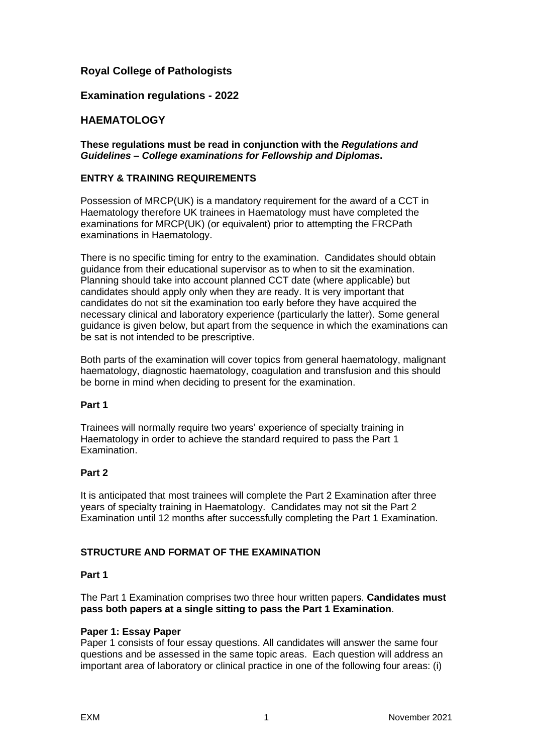# **Royal College of Pathologists**

## **Examination regulations - 2022**

## **HAEMATOLOGY**

**These regulations must be read in conjunction with the** *Regulations and Guidelines – College examinations for Fellowship and Diplomas***.**

#### **ENTRY & TRAINING REQUIREMENTS**

Possession of MRCP(UK) is a mandatory requirement for the award of a CCT in Haematology therefore UK trainees in Haematology must have completed the examinations for MRCP(UK) (or equivalent) prior to attempting the FRCPath examinations in Haematology.

There is no specific timing for entry to the examination. Candidates should obtain guidance from their educational supervisor as to when to sit the examination. Planning should take into account planned CCT date (where applicable) but candidates should apply only when they are ready. It is very important that candidates do not sit the examination too early before they have acquired the necessary clinical and laboratory experience (particularly the latter). Some general guidance is given below, but apart from the sequence in which the examinations can be sat is not intended to be prescriptive.

Both parts of the examination will cover topics from general haematology, malignant haematology, diagnostic haematology, coagulation and transfusion and this should be borne in mind when deciding to present for the examination.

### **Part 1**

Trainees will normally require two years' experience of specialty training in Haematology in order to achieve the standard required to pass the Part 1 Examination.

### **Part 2**

It is anticipated that most trainees will complete the Part 2 Examination after three years of specialty training in Haematology. Candidates may not sit the Part 2 Examination until 12 months after successfully completing the Part 1 Examination.

### **STRUCTURE AND FORMAT OF THE EXAMINATION**

### **Part 1**

The Part 1 Examination comprises two three hour written papers. **Candidates must pass both papers at a single sitting to pass the Part 1 Examination**.

### **Paper 1: Essay Paper**

Paper 1 consists of four essay questions. All candidates will answer the same four questions and be assessed in the same topic areas. Each question will address an important area of laboratory or clinical practice in one of the following four areas: (i)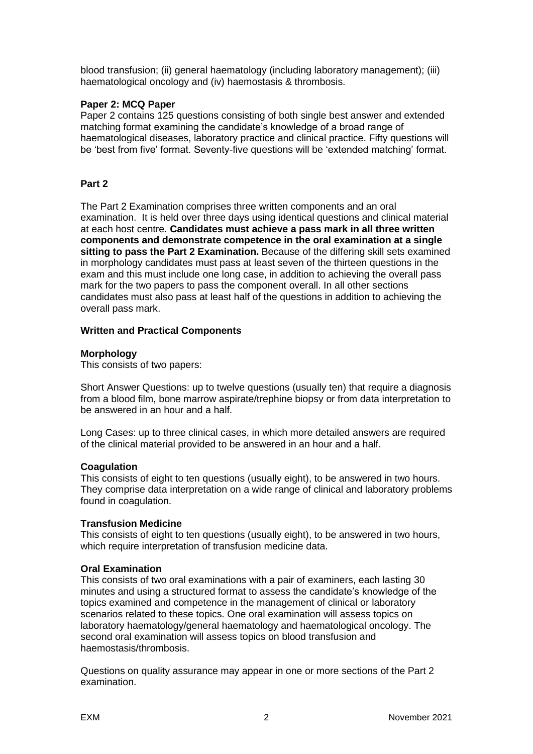blood transfusion; (ii) general haematology (including laboratory management); (iii) haematological oncology and (iv) haemostasis & thrombosis.

#### **Paper 2: MCQ Paper**

Paper 2 contains 125 questions consisting of both single best answer and extended matching format examining the candidate's knowledge of a broad range of haematological diseases, laboratory practice and clinical practice. Fifty questions will be 'best from five' format. Seventy-five questions will be 'extended matching' format.

### **Part 2**

The Part 2 Examination comprises three written components and an oral examination. It is held over three days using identical questions and clinical material at each host centre. **Candidates must achieve a pass mark in all three written components and demonstrate competence in the oral examination at a single sitting to pass the Part 2 Examination.** Because of the differing skill sets examined in morphology candidates must pass at least seven of the thirteen questions in the exam and this must include one long case, in addition to achieving the overall pass mark for the two papers to pass the component overall. In all other sections candidates must also pass at least half of the questions in addition to achieving the overall pass mark.

#### **Written and Practical Components**

#### **Morphology**

This consists of two papers:

Short Answer Questions: up to twelve questions (usually ten) that require a diagnosis from a blood film, bone marrow aspirate/trephine biopsy or from data interpretation to be answered in an hour and a half.

Long Cases: up to three clinical cases, in which more detailed answers are required of the clinical material provided to be answered in an hour and a half.

#### **Coagulation**

This consists of eight to ten questions (usually eight), to be answered in two hours. They comprise data interpretation on a wide range of clinical and laboratory problems found in coagulation.

#### **Transfusion Medicine**

This consists of eight to ten questions (usually eight), to be answered in two hours, which require interpretation of transfusion medicine data.

#### **Oral Examination**

This consists of two oral examinations with a pair of examiners, each lasting 30 minutes and using a structured format to assess the candidate's knowledge of the topics examined and competence in the management of clinical or laboratory scenarios related to these topics. One oral examination will assess topics on laboratory haematology/general haematology and haematological oncology. The second oral examination will assess topics on blood transfusion and haemostasis/thrombosis.

Questions on quality assurance may appear in one or more sections of the Part 2 examination.